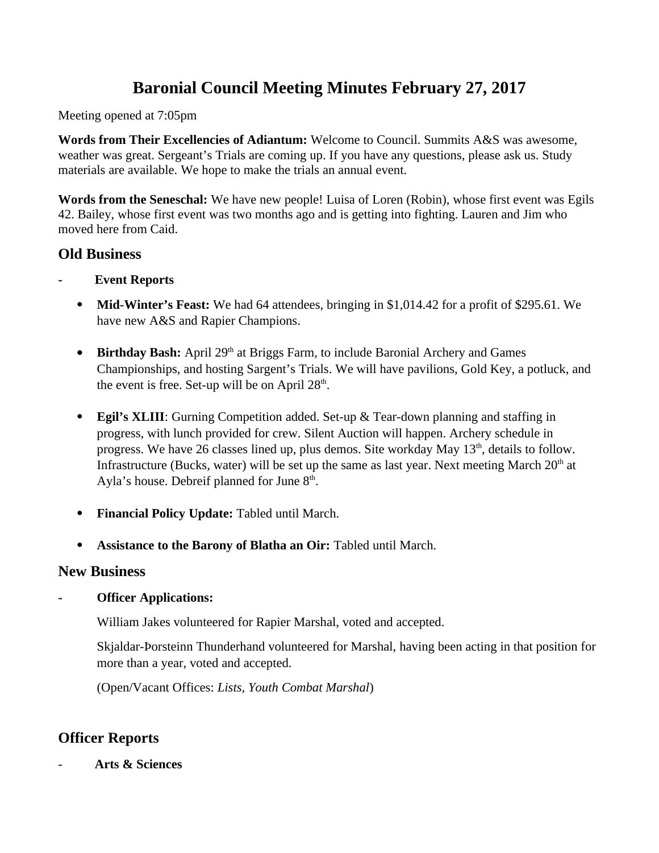# **Baronial Council Meeting Minutes February 27, 2017**

Meeting opened at 7:05pm

**Words from Their Excellencies of Adiantum:** Welcome to Council. Summits A&S was awesome, weather was great. Sergeant's Trials are coming up. If you have any questions, please ask us. Study materials are available. We hope to make the trials an annual event.

**Words from the Seneschal:** We have new people! Luisa of Loren (Robin), whose first event was Egils 42. Bailey, whose first event was two months ago and is getting into fighting. Lauren and Jim who moved here from Caid.

# **Old Business**

- **Event Reports**
	- **Mid-Winter's Feast:** We had 64 attendees, bringing in \$1,014.42 for a profit of \$295.61. We have new A&S and Rapier Champions.
	- **Birthday Bash:** April 29<sup>th</sup> at Briggs Farm, to include Baronial Archery and Games Championships, and hosting Sargent's Trials. We will have pavilions, Gold Key, a potluck, and the event is free. Set-up will be on April  $28<sup>th</sup>$ .
	- **Egil's XLIII**: Gurning Competition added. Set-up & Tear-down planning and staffing in progress, with lunch provided for crew. Silent Auction will happen. Archery schedule in progress. We have 26 classes lined up, plus demos. Site workday May  $13<sup>th</sup>$ , details to follow. Infrastructure (Bucks, water) will be set up the same as last year. Next meeting March  $20<sup>th</sup>$  at Ayla's house. Debreif planned for June  $8<sup>th</sup>$ .
	- **Financial Policy Update:** Tabled until March.
	- **Assistance to the Barony of Blatha an Oir:** Tabled until March.

# **New Business**

**- Officer Applications:** 

William Jakes volunteered for Rapier Marshal, voted and accepted.

Skjaldar-Þorsteinn Thunderhand volunteered for Marshal, having been acting in that position for more than a year, voted and accepted.

(Open/Vacant Offices: *Lists, Youth Combat Marshal*)

# **Officer Reports**

- **Arts & Sciences**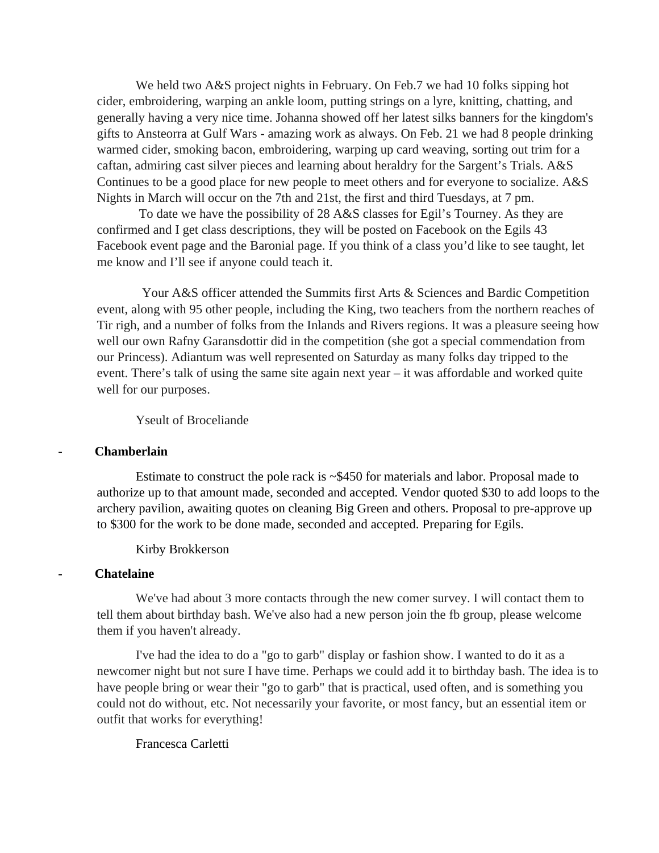We held two A&S project nights in February. On Feb.7 we had 10 folks sipping hot cider, embroidering, warping an ankle loom, putting strings on a lyre, knitting, chatting, and generally having a very nice time. Johanna showed off her latest silks banners for the kingdom's gifts to Ansteorra at Gulf Wars - amazing work as always. On Feb. 21 we had 8 people drinking warmed cider, smoking bacon, embroidering, warping up card weaving, sorting out trim for a caftan, admiring cast silver pieces and learning about heraldry for the Sargent's Trials. A&S Continues to be a good place for new people to meet others and for everyone to socialize. A&S Nights in March will occur on the 7th and 21st, the first and third Tuesdays, at 7 pm.

To date we have the possibility of 28 A&S classes for Egil's Tourney. As they are confirmed and I get class descriptions, they will be posted on Facebook on the Egils 43 Facebook event page and the Baronial page. If you think of a class you'd like to see taught, let me know and I'll see if anyone could teach it.

Your A&S officer attended the Summits first Arts & Sciences and Bardic Competition event, along with 95 other people, including the King, two teachers from the northern reaches of Tir righ, and a number of folks from the Inlands and Rivers regions. It was a pleasure seeing how well our own Rafny Garansdottir did in the competition (she got a special commendation from our Princess). Adiantum was well represented on Saturday as many folks day tripped to the event. There's talk of using the same site again next year – it was affordable and worked quite well for our purposes.

#### Yseult of Broceliande

#### **- Chamberlain**

Estimate to construct the pole rack is  $\sim$ \$450 for materials and labor. Proposal made to authorize up to that amount made, seconded and accepted. Vendor quoted \$30 to add loops to the archery pavilion, awaiting quotes on cleaning Big Green and others. Proposal to pre-approve up to \$300 for the work to be done made, seconded and accepted. Preparing for Egils.

Kirby Brokkerson

#### **- Chatelaine**

We've had about 3 more contacts through the new comer survey. I will contact them to tell them about birthday bash. We've also had a new person join the fb group, please welcome them if you haven't already.

I've had the idea to do a "go to garb" display or fashion show. I wanted to do it as a newcomer night but not sure I have time. Perhaps we could add it to birthday bash. The idea is to have people bring or wear their "go to garb" that is practical, used often, and is something you could not do without, etc. Not necessarily your favorite, or most fancy, but an essential item or outfit that works for everything!

Francesca Carletti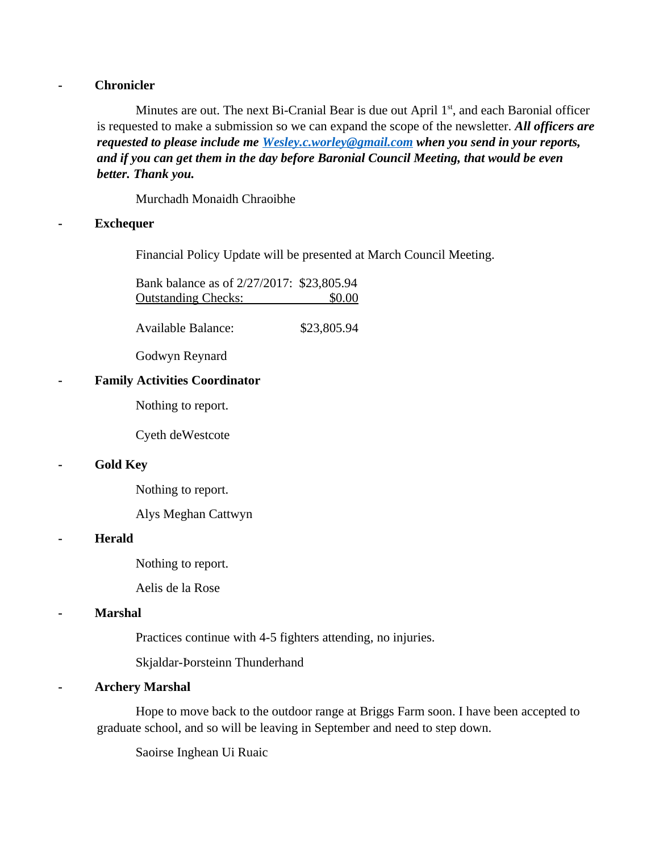## **- Chronicler**

Minutes are out. The next Bi-Cranial Bear is due out April  $1<sup>st</sup>$ , and each Baronial officer is requested to make a submission so we can expand the scope of the newsletter. *All officers are requested to please include me [Wesley.c.worley@gmail.com](mailto:Wesley.c.worley@gmail.com) when you send in your reports, and if you can get them in the day before Baronial Council Meeting, that would be even better. Thank you.*

Murchadh Monaidh Chraoibhe

### **- Exchequer**

Financial Policy Update will be presented at March Council Meeting.

Bank balance as of 2/27/2017: \$23,805.94 Outstanding Checks: \$0.00

Available Balance: \$23,805.94

Godwyn Reynard

### **- Family Activities Coordinator**

Nothing to report.

Cyeth deWestcote

#### **- Gold Key**

Nothing to report.

Alys Meghan Cattwyn

#### **- Herald**

Nothing to report.

Aelis de la Rose

#### **- Marshal**

Practices continue with 4-5 fighters attending, no injuries.

Skjaldar-Þorsteinn Thunderhand

# **- Archery Marshal**

Hope to move back to the outdoor range at Briggs Farm soon. I have been accepted to graduate school, and so will be leaving in September and need to step down.

Saoirse Inghean Ui Ruaic